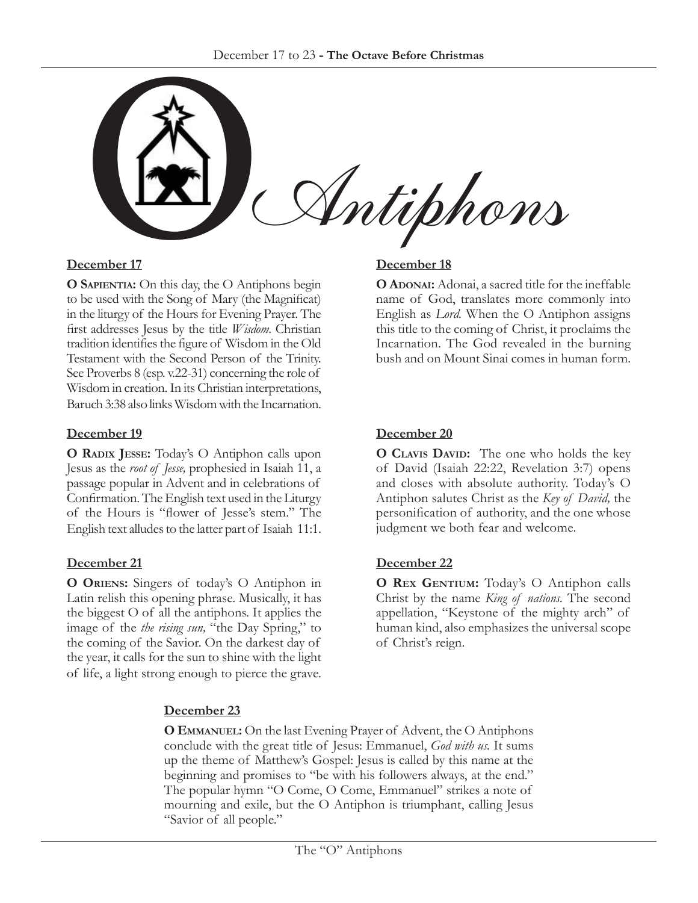

### **December 17**

**O Sapientia:** On this day, the O Antiphons begin to be used with the Song of Mary (the Magnificat) in the liturgy of the Hours for Evening Prayer. The first addresses Jesus by the title *Wisdom*. Christian tradition identifies the figure of Wisdom in the Old Testament with the Second Person of the Trinity. See Proverbs 8 (esp. v.22-31) concerning the role of Wisdom in creation. In its Christian interpretations, Baruch 3:38 also links Wisdom with the Incarnation.

## **December 19**

**O Radix Jesse:** Today's O Antiphon calls upon Jesus as the *root of Jesse,* prophesied in Isaiah 11, a passage popular in Advent and in celebrations of Confirmation. The English text used in the Liturgy of the Hours is "flower of Jesse's stem." The English text alludes to the latter part of Isaiah 11:1.

# **December 21**

**O Oriens:** Singers of today's O Antiphon in Latin relish this opening phrase. Musically, it has the biggest O of all the antiphons. It applies the image of the *the rising sun,* "the Day Spring," to the coming of the Savior. On the darkest day of the year, it calls for the sun to shine with the light of life, a light strong enough to pierce the grave.

## **December 18**

**O ADONAI:** Adonai, a sacred title for the ineffable name of God, translates more commonly into English as *Lord.* When the O Antiphon assigns this title to the coming of Christ, it proclaims the Incarnation. The God revealed in the burning bush and on Mount Sinai comes in human form.

## **December 20**

**O CLAVIS DAVID:** The one who holds the key of David (Isaiah 22:22, Revelation 3:7) opens and closes with absolute authority. Today's O Antiphon salutes Christ as the *Key of David,* the personification of authority, and the one whose judgment we both fear and welcome.

### **December 22**

**O REX GENTIUM:** Today's O Antiphon calls Christ by the name *King of nations.* The second appellation, "Keystone of the mighty arch" of human kind, also emphasizes the universal scope of Christ's reign.

# **December 23**

**O Emmanuel:** On the last Evening Prayer of Advent, the O Antiphons conclude with the great title of Jesus: Emmanuel, *God with us.* It sums up the theme of Matthew's Gospel: Jesus is called by this name at the beginning and promises to "be with his followers always, at the end." The popular hymn "O Come, O Come, Emmanuel" strikes a note of mourning and exile, but the O Antiphon is triumphant, calling Jesus "Savior of all people."